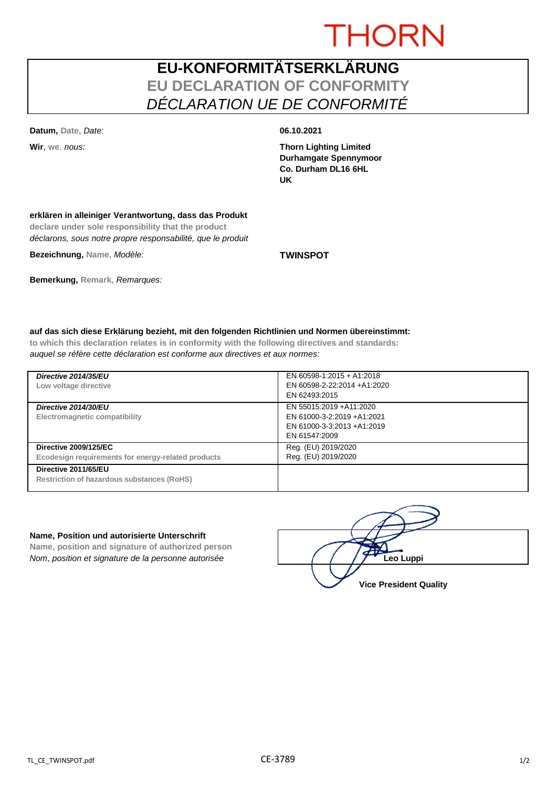# **THORN**

## **EU-KONFORMITÄTSERKLÄRUNG EU DECLARATION OF CONFORMITY** *DÉCLARATION UE DE CONFORMITÉ*

**Datum, Date,** *Date:* **06.10.2021**

**Wir**, **we**, *nous:* **Thorn Lighting Limited Durhamgate Spennymoor Co. Durham DL16 6HL UK**

### **erklären in alleiniger Verantwortung, dass das Produkt**

**declare under sole responsibility that the product** *déclarons, sous notre propre responsabilité, que le produit*

**Bezeichnung, Name,** *Modèle:* **TWINSPOT**

**Bemerkung, Remark,** *Remarques:*

# **auf das sich diese Erklärung bezieht, mit den folgenden Richtlinien und Normen übereinstimmt:**

**to which this declaration relates is in conformity with the following directives and standards:** *auquel se réfère cette déclaration est conforme aux directives et aux normes:*

| Directive 2014/35/EU<br>Low voltage directive                                      | EN 60598-1:2015 + A1:2018<br>EN 60598-2-22:2014 +A1:2020<br>EN 62493:2015                            |
|------------------------------------------------------------------------------------|------------------------------------------------------------------------------------------------------|
| Directive 2014/30/EU<br>Electromagnetic compatibility                              | EN 55015:2019 +A11:2020<br>EN 61000-3-2:2019 +A1:2021<br>EN 61000-3-3:2013 +A1:2019<br>EN 61547:2009 |
| <b>Directive 2009/125/EC</b><br>Ecodesign requirements for energy-related products | Reg. (EU) 2019/2020<br>Reg. (EU) 2019/2020                                                           |
| Directive 2011/65/EU<br>Restriction of hazardous substances (RoHS)                 |                                                                                                      |

### **Name, Position und autorisierte Unterschrift**

**Name, position and signature of authorized person** *Nom, position et signature de la personne autorisée*  $\left( \left( \left( \begin{array}{c} \end{array} \right)$  **Leo Luppi** 

**Vice President Quality**